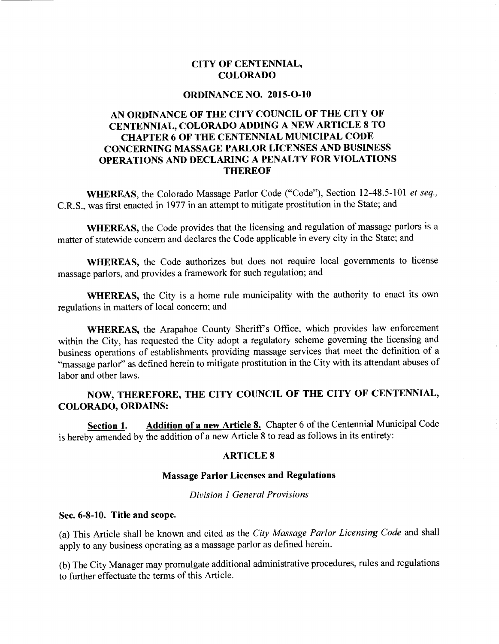### **CITY OF CENTENNIAL, COLORADO**

#### **ORDINANCE NO. 2015-0-10**

## **AN ORDINANCE OF THE CITY COUNCIL OF THE CITY OF CENTENNIAL, COLORADO ADDING A NEW ARTICLE 8 TO CHAPTER 6 OF THE CENTENNIAL MUNICIPAL CODE CONCERNING MASSAGE PARLOR LICENSES AND BUSINESS OPERATIONS AND DECLARING A PENALTY FOR VIOLATIONS THEREOF**

**WHEREAS,** the Colorado Massage Parlor Code ("Code"), Section 12-48.5-101 *et seq.,*  C.R.S., was first enacted in 1977 in an attempt to mitigate prostitution in the State; and

**WHEREAS,** the Code provides that the licensing and regulation of massage parlors is a matter of statewide concern and declares the Code applicable in every city in the State; and

WHEREAS, the Code authorizes but does not require local governments to license massage parlors, and provides a framework for such regulation; and

**WHEREAS,** the City is a home rule municipality with the authority to enact its own regulations in matters of local concern; and

**WHEREAS,** the Arapahoe County Sheriff's Office, which provides law enforcement within the City, has requested the City adopt a regulatory scheme governing the licensing and business operations of establishments providing massage services that meet the definition of a "massage parlor" as defined herein to mitigate prostitution in the City with its attendant abuses of labor and other laws.

#### **NOW, THEREFORE, THE CITY COUNCIL OF THE CITY OF CENTENNIAL, COLORADO, ORDAINS:**

**Section 1.** Addition of a new Article 8. Chapter 6 of the Centennial Municipal Code is hereby amended by the addition of a new Article 8 to read as follows in its entirety:

#### **ARTICLE 8**

#### **Massage Parlor Licenses and Regulations**

#### *Division 1 General Provisions*

#### **Sec. 6-8-10. Title and scope.**

(a) This Article shall be known and cited as the *City Massage Parlor Licensing Code* and shall apply to any business operating as a massage parlor as defined herein.

(b) The City Manager may promulgate additional administrative procedures, rules and regulations to further effectuate the terms of this Article.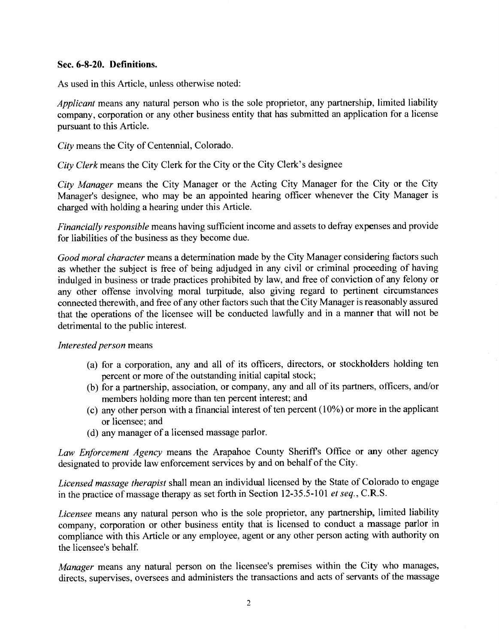#### **Sec. 6-8-20. Definitions.**

As used in this Article, unless otherwise noted:

*Applicant* means any natural person who is the sole proprietor, any partnership, limited liability company, corporation or any other business entity that has submitted an application for a license pursuant to this Article.

*City* means the City of Centennial, Colorado.

*City Clerk* means the City Clerk for the City or the City Clerk's designee

*City Manager* means the City Manager or the Acting City Manager for the City or the City Manager's designee, who may be an appointed hearing officer whenever the City Manager is charged with holding a hearing under this Article.

*Financially responsible* means having sufficient income and assets to defray expenses and provide for liabilities of the business as they become due.

*Good moral character* means a determination made by the City Manager considering factors such as whether the subject is free of being adjudged in any civil or criminal proceeding of having indulged in business or trade practices prohibited by law, and free of conviction of any felony or any other offense involving moral turpitude, also giving regard to pertinent circumstances connected therewith, and free of any other factors such that the City Manager is reasonably assured that the operations of the licensee will be conducted lawfully and in a manner that will not be detrimental to the public interest.

#### *Interested person* means

- (a) for a corporation, any and all of its officers, directors, or stockholders holding ten percent or more of the outstanding initial capital stock;
- (b) for a partnership, association, or company, any and all of its partners, officers, and/or members holding more than ten percent interest; and
- (c) any other person with a financial interest of ten percent (10%) or more in the applicant or licensee; and
- (d) any manager of a licensed massage parlor.

*Law Enforcement Agency* means the Arapahoe County Sheriffs Office or any other agency designated to provide law enforcement services by and on behalf of the City.

*Licensed massage therapist* shall mean an individual licensed by the State of Colorado to engage in the practice of massage therapy as set forth in Section 12-35.5-101 *et seq.,* **C.R.S.** 

*Licensee* means any natural person who is the sole proprietor, any partnership, limited liability company, corporation or other business entity that is licensed to conduct a massage parlor in compliance with this Article or any employee, agent or any other person acting with authority on the licensee's behalf

*Manager* means any natural person on the licensee's premises within the City who manages, directs, supervises, oversees and administers the transactions and acts of servants of the massage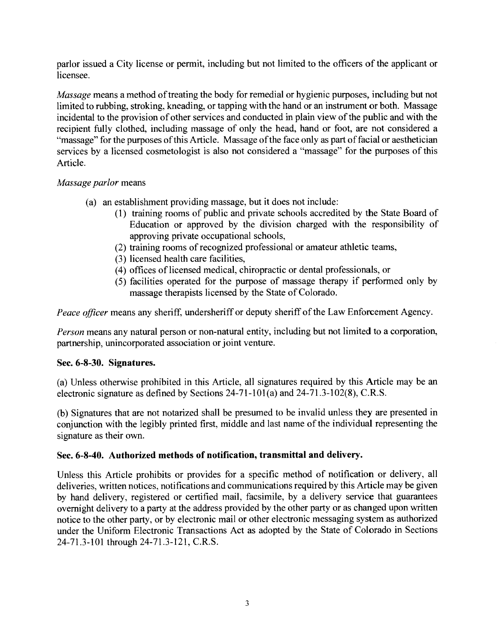parlor issued a City license or permit, including but not limited to the officers of the applicant or licensee.

*Massage* means a method of treating the body for remedial or hygienic purposes, including but not limited to rubbing, stroking, kneading, or tapping with the hand or an instrument or both. Massage incidental to the provision of other services and conducted in plain view of the public and with the recipient fully clothed, including massage of only the head, hand or foot, are not considered a "massage" for the purposes of this Article. Massage of the face only as part of facial or aesthetician services by a licensed cosmetologist is also not considered a "massage" for the purposes of this Article.

## *Massage parlor* means

- (a) an establishment providing massage, but it does not include:
	- (1) training rooms of public and private schools accredited by the State Board of Education or approved by the division charged with the responsibility of approving private occupational schools,
	- (2) training rooms of recognized professional or amateur athletic teams,
	- (3) licensed health care facilities,
	- (4) offices of licensed medical, chiropractic or dental professionals, or
	- (5) facilities operated for the purpose of massage therapy if performed only by massage therapists licensed by the State of Colorado.

*Peace officer* means any sheriff, undersheriff or deputy sheriff of the Law Enforcement Agency.

*Person* means any natural person or non-natural entity, including but not limited to a corporation, partnership, unincorporated association or joint venture.

# **Sec. 6-8-30. Signatures.**

(a) Unless otherwise prohibited in this Article, all signatures required by this Article may be an electronic signature as defined by Sections 24-71-101(a) and 24-71.3-102(8), C.R.S.

(b) Signatures that are not notarized shall be presumed to be invalid unless they are presented in conjunction with the legibly printed first, middle and last name of the individual representing the signature as their own.

# **Sec. 6-8-40. Authorized methods of notification, transmittal and delivery.**

Unless this Article prohibits or provides for a specific method of notification or delivery, all deliveries, written notices, notifications and communications required by this Article may be given by hand delivery, registered or certified mail, facsimile, by a delivery service that guarantees overnight delivery to a party at the address provided by the other party or as changed upon written notice to the other party, or by electronic mail or other electronic messaging system as authorized under the Uniform Electronic Transactions Act as adopted by the State of Colorado in Sections 24-71.3-101 through 24-71.3-121, C.R.S.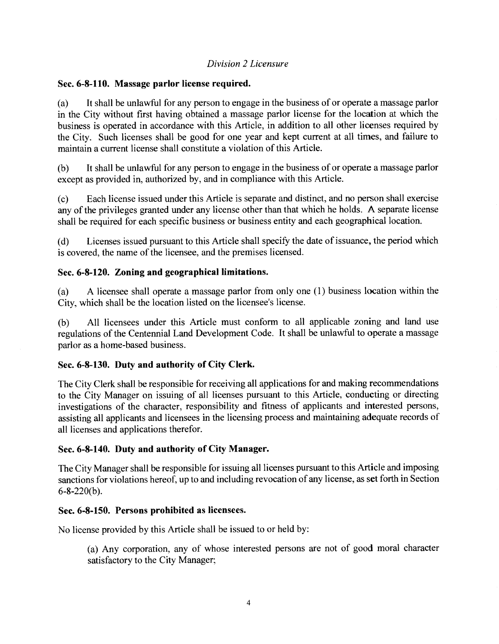### *Division 2 Licensure*

#### **Sec. 6-8-110. Massage parlor license required.**

(a) It shall be unlawful for any person to engage in the business of or operate a massage parlor in the City without first having obtained a massage parlor license for the location at which the business is operated in accordance with this Article, in addition to all other licenses required by the City. Such licenses shall be good for one year and kept current at all times, and failure to maintain a current license shall constitute a violation of this Article.

(b) It shall be unlawful for any person to engage in the business of or operate a massage parlor except as provided in, authorized by, and in compliance with this Article.

(c) Each license issued under this Article is separate and distinct, and no person shall exercise any of the privileges granted under any license other than that which he holds. **A** separate license shall be required for each specific business or business entity and each geographical location.

(d) Licenses issued pursuant to this Article shall specify the date of issuance, the period which is covered, the name of the licensee, and the premises licensed.

## **Sec. 6-8-120. Zoning and geographical limitations.**

(a) A licensee shall operate a massage parlor from only one (1) business location within the City, which shall be the location listed on the licensee's license.

(b) All licensees under this Article must conform to all applicable zoning and land use regulations of the Centennial Land Development Code. It shall be unlawful to operate a massage parlor as a home-based business.

#### **Sec. 6-8-130. Duty and authority of City Clerk.**

The City Clerk shall be responsible for receiving all applications for and making recommendations to the City Manager on issuing of all licenses pursuant to this Article, conducting or directing investigations of the character, responsibility and fitness of applicants and interested persons, assisting all applicants and licensees in the licensing process and maintaining adequate records of all licenses and applications therefor.

#### **Sec. 6-8-140. Duty and authority of City Manager.**

The City Manager shall be responsible for issuing all licenses pursuant to this Article and imposing sanctions for violations hereof, up to and including revocation of any license, as set forth in Section 6-8-220(b).

#### **Sec. 6-8-150. Persons prohibited as licensees.**

No license provided by this Article shall be issued to or held by:

(a) Any corporation, any of whose interested persons are not of good moral character satisfactory to the City Manager;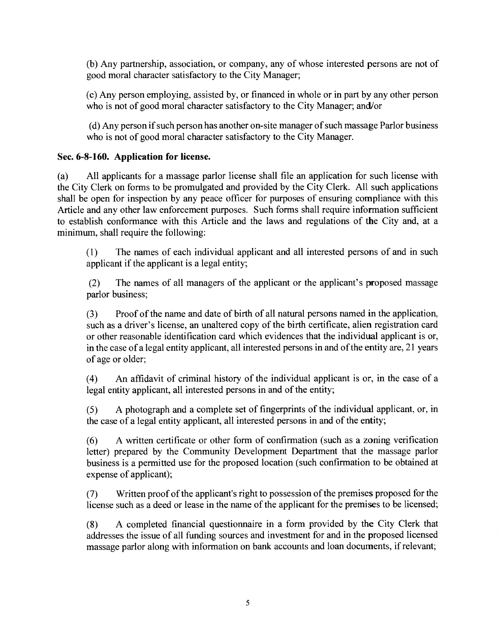(b) Any partnership, association, or company, any of whose interested persons are not of good moral character satisfactory to the City Manager;

(c) Any person employing, assisted by, or financed in whole or in part by any other person who is not of good moral character satisfactory to the City Manager; and/or

(d) Any person if such person has another on-site manager of such massage Parlor business who is not of good moral character satisfactory to the City Manager.

## **Sec. 6-8-160. Application for license.**

(a) All applicants for a massage parlor license shall file an application for such license with the City Clerk on forms to be promulgated and provided by the City Clerk. All such applications shall be open for inspection by any peace officer for purposes of ensuring compliance with this Article and any other law enforcement purposes. Such forms shall require information sufficient to establish conformance with this Article and the laws and regulations of the City and, at a minimum, shall require the following:

(1) The names of each individual applicant and all interested persons of and in such applicant if the applicant is a legal entity;

(2) The names of all managers of the applicant or the applicant's proposed massage parlor business;

(3) Proof of the name and date of birth of all natural persons named in the application, such as a driver's license, an unaltered copy of the birth certificate, alien registration card or other reasonable identification card which evidences that the individual applicant is or, in the case of a legal entity applicant, all interested persons in and of the entity are, 21 years of age or older;

(4) An affidavit of criminal history of the individual applicant is or, in the case of a legal entity applicant, all interested persons in and of the entity;

(5) A photograph and a complete set of fingerprints of the individual applicant, or, in the case of a legal entity applicant, all interested persons in and of the entity;

(6) A written certificate or other form of confirmation (such as a zoning verification letter) prepared by the Community Development Department that the massage parlor business is a permitted use for the proposed location (such confirmation to be obtained at expense of applicant);

(7) Written proof of the applicant's right to possession of the premises proposed for the license such as a deed or lease in the name of the applicant for the premises to be licensed;

(8) A completed financial questionnaire in a form provided by the City Clerk that addresses the issue of all funding sources and investment for and in the proposed licensed massage parlor along with information on bank accounts and loan documents, if relevant;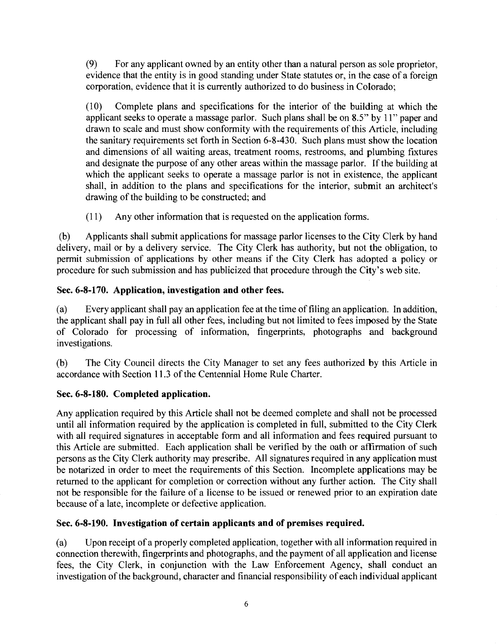(9) For any applicant owned by an entity other than a natural person as sole proprietor, evidence that the entity is in good standing under State statutes or, in the case of a foreign corporation, evidence that it is currently authorized to do business in Colorado;

(10) Complete plans and specifications for the interior of the building at which the applicant seeks to operate a massage parlor. Such plans shall be on 8.5" by 11" paper and drawn to scale and must show conformity with the requirements of this Article, including the sanitary requirements set forth in Section 6-8-430. Such plans must show the location and dimensions of all waiting areas, treatment rooms, restrooms, and plumbing fixtures and designate the purpose of any other areas within the massage parlor. If the building at which the applicant seeks to operate a massage parlor is not in existence, the applicant shall, in addition to the plans and specifications for the interior, submit an architect's drawing of the building to be constructed; and

(11) Any other information that is requested on the application forms.

(b) Applicants shall submit applications for massage parlor licenses to the City Clerk by hand delivery, mail or by a delivery service. The City Clerk has authority, but not the obligation, to permit submission of applications by other means if the City Clerk has adopted a policy or procedure for such submission and has publicized that procedure through the City's web site.

## **Sec. 6-8-170. Application, investigation and other fees.**

(a) Every applicant shall pay an application fee at the time of filing an application. In addition, the applicant shall pay in full all other fees, including but not limited to fees imposed by the State of Colorado for processing of information, fingerprints, photographs and background investigations.

(b) The City Council directs the City Manager to set any fees authorized by this Article in accordance with Section 11.3 of the Centennial Home Rule Charter.

# **Sec. 6-8-180. Completed application.**

Any application required by this Article shall not be deemed complete and shall not be processed until all information required by the application is completed in full, submitted to the City Clerk with all required signatures in acceptable form and all information and fees required pursuant to this Article are submitted. Each application shall be verified by the oath or affirmation of such persons as the City Clerk authority may prescribe. All signatures required in any application must be notarized in order to meet the requirements of this Section. Incomplete applications may be returned to the applicant for completion or correction without any further action. The City shall not be responsible for the failure of a license to be issued or renewed prior to an expiration date because of a late, incomplete or defective application.

# **Sec. 6-8-190. Investigation of certain applicants and of premises required.**

(a) Upon receipt of a properly completed application, together with all information required in connection therewith, fingerprints and photographs, and the payment of all application and license fees, the City Clerk, in conjunction with the Law Enforcement Agency, shall conduct an investigation of the background, character and financial responsibility of each individual applicant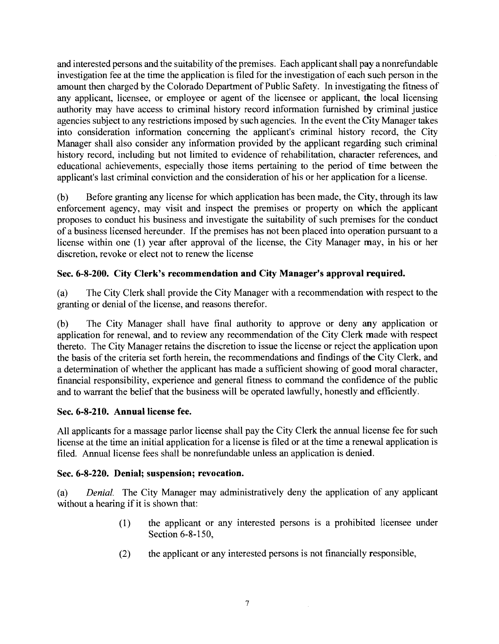and interested persons and the suitability of the premises. Each applicant shall pay a nonrefundable investigation fee at the time the application is filed for the investigation of each such person in the amount then charged by the Colorado Department of Public Safety. In investigating the fitness of any applicant, licensee, or employee or agent of the licensee or applicant, the local licensing authority may have access to criminal history record information furnished by criminal justice agencies subject to any restrictions imposed by such agencies. In the event the City Manager takes into consideration information concerning the applicant's criminal history record, the City Manager shall also consider any information provided by the applicant regarding such criminal history record, including but not limited to evidence of rehabilitation, character references, and educational achievements, especially those items pertaining to the period of time between the applicant's last criminal conviction and the consideration of his or her application for a license.

(b) Before granting any license for which application has been made, the City, through its law enforcement agency, may visit and inspect the premises or property on which the applicant proposes to conduct his business and investigate the suitability of such premises for the conduct of a business licensed hereunder. If the premises has not been placed into operation pursuant to a license within one (1) year after approval of the license, the City Manager may, in his or her discretion, revoke or elect not to renew the license

### **Sec. 6-8-200. City Clerk's recommendation and City Manager's approval required.**

(a) The City Clerk shall provide the City Manager with a recommendation with respect to the granting or denial of the license, and reasons therefor.

(b) The City Manager shall have final authority to approve or deny any application or application for renewal, and to review any recommendation of the City Clerk made with respect thereto. The City Manager retains the discretion to issue the license or reject the application upon the basis of the criteria set forth herein, the recommendations and findings of the City Clerk, and a determination of whether the applicant has made a sufficient showing of good moral character, financial responsibility, experience and general fitness to command the confidence of the public and to warrant the belief that the business will be operated lawfully, honestly and efficiently.

#### **Sec. 6-8-210. Annual license fee.**

All applicants for a massage parlor license shall pay the City Clerk the annual license fee for such license at the time an initial application for a license is filed or at the time a renewal application is filed. Annual license fees shall be nonrefundable unless an application is denied.

#### **Sec. 6-8-220. Denial; suspension; revocation.**

(a) *Denial.* The City Manager may administratively deny the application of any applicant without a hearing if it is shown that:

- (1) the applicant or any interested persons is a prohibited licensee under Section 6-8-150,
- (2) the applicant or any interested persons is not financially responsible,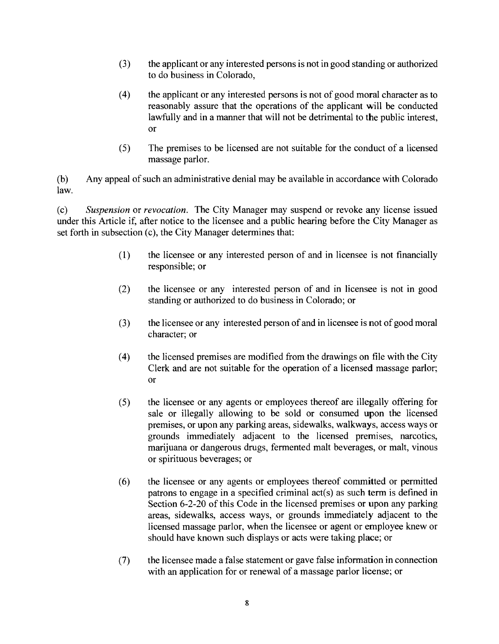- (3) the applicant or any interested persons is not in good standing or authorized to do business in Colorado,
- (4) the applicant or any interested persons is not of good moral character as to reasonably assure that the operations of the applicant will be conducted lawfully and in a manner that will not be detrimental to the public interest, or
- (5) The premises to be licensed are not suitable for the conduct of a licensed massage parlor.

(b) Any appeal of such an administrative denial may be available in accordance with Colorado law.

*(c) Suspension* or *revocation.* The City Manager may suspend or revoke any license issued under this Article if, after notice to the licensee and a public hearing before the City Manager as set forth in subsection (c), the City Manager determines that:

- (1) the licensee or any interested person of and in licensee is not financially responsible; or
- (2) the licensee or any interested person of and in licensee is not in good standing or authorized to do business in Colorado; or
- (3) the licensee or any interested person of and in licensee is not of good moral character; or
- (4) the licensed premises are modified from the drawings on file with the City Clerk and are not suitable for the operation of a licensed massage parlor; or
- (5) the licensee or any agents or employees thereof are illegally offering for sale or illegally allowing to be sold or consumed upon the licensed premises, or upon any parking areas, sidewalks, walkways, access ways or grounds immediately adjacent to the licensed premises, narcotics, marijuana or dangerous drugs, fermented malt beverages, or malt, vinous or spirituous beverages; or
- (6) the licensee or any agents or employees thereof committed or permitted patrons to engage in a specified criminal act(s) as such term is defined in Section 6-2-20 of this Code in the licensed premises or upon any parking areas, sidewalks, access ways, or grounds immediately adjacent to the licensed massage parlor, when the licensee or agent or employee knew or should have known such displays or acts were taking place; or
- (7) the licensee made a false statement or gave false information in connection with an application for or renewal of a massage parlor license; or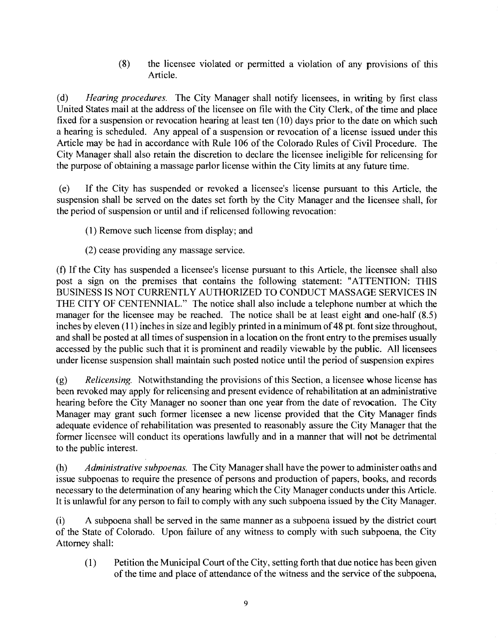(8) the licensee violated or permitted a violation of any provisions of this Article.

(d) *Hearing procedures.* The City Manager shall notify licensees, in writing by first class United States mail at the address of the licensee on file with the City Clerk, of the time and place fixed for a suspension or revocation hearing at least ten (10) days prior to the date on which such a hearing is scheduled. Any appeal of a suspension or revocation of a license issued under this Article may be had in accordance with Rule 106 of the Colorado Rules of Civil Procedure. The City Manager shall also retain the discretion to declare the licensee ineligible for relicensing for the purpose of obtaining a massage parlor license within the City limits at any future time.

(e) If the City has suspended or revoked a licensee's license pursuant to this Article, the suspension shall be served on the dates set forth by the City Manager and the licensee shall, for the period of suspension or until and if relicensed following revocation:

- (1) Remove such license from display; and
- (2) cease providing any massage service.

(f) If the City has suspended a licensee's license pursuant to this Article, the licensee shall also post a sign on the premises that contains the following statement: "ATTENTION: THIS BUSINESS IS NOT CURRENTLY AUTHORIZED TO CONDUCT MASSAGE SERVICES IN THE CITY OF CENTENNIAL." The notice shall also include a telephone number at which the manager for the licensee may be reached. The notice shall be at least eight and one-half (8.5) inches by eleven (11) inches in size and legibly printed in a minimum of 48 pt. font size throughout, and shall be posted at all times of suspension in a location on the front entry to the premises usually accessed by the public such that it is prominent and readily viewable by the public. All licensees under license suspension shall maintain such posted notice until the period of suspension expires

(g) *Relicensing.* Notwithstanding the provisions of this Section, a licensee whose license has been revoked may apply for relicensing and present evidence of rehabilitation at an administrative hearing before the City Manager no sooner than one year from the date of revocation. The City Manager may grant such former licensee a new license provided that the City Manager finds adequate evidence of rehabilitation was presented to reasonably assure the City Manager that the former licensee will conduct its operations lawfully and in a manner that will not be detrimental to the public interest.

(h) *Administrative subpoenas.* The City Manager shall have the power to administer oaths and issue subpoenas to require the presence of persons and production of papers, books, and records necessary to the determination of any hearing which the City Manager conducts under this Article. It is unlawful for any person to fail to comply with any such subpoena issued by the City Manager.

(i) A subpoena shall be served in the same manner as a subpoena issued by the district court of the State of Colorado. Upon failure of any witness to comply with such subpoena, the City Attorney shall:

 $(1)$ Petition the Municipal Court of the City, setting forth that due notice has been given of the time and place of attendance of the witness and the service of the subpoena,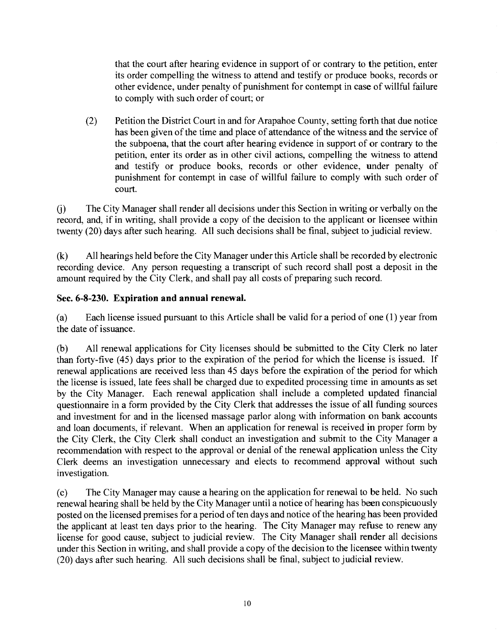that the court after hearing evidence in support of or contrary to the petition, enter its order compelling the witness to attend and testify or produce books, records or other evidence, under penalty of punishment for contempt in case of willful failure to comply with such order of court; or

(2) Petition the District Court in and for Arapahoe County, setting forth that due notice has been given of the time and place of attendance of the witness and the service of the subpoena, that the court after hearing evidence in support of or contrary to the petition, enter its order as in other civil actions, compelling the witness to attend and testify or produce books, records or other evidence, under penalty of punishment for contempt in case of willful failure to comply with such order of court.

(i) The City Manager shall render all decisions under this Section in writing or verbally on the record, and, if in writing, shall provide a copy of the decision to the applicant or licensee within twenty (20) days after such hearing. All such decisions shall be final, subject to judicial review.

(k) All hearings held before the City Manager under this Article shall be recorded by electronic recording device. Any person requesting a transcript of such record shall post a deposit in the amount required by the City Clerk, and shall pay all costs of preparing such record.

## **Sec. 6-8-230. Expiration and annual renewal.**

(a) Each license issued pursuant to this Article shall be valid for a period of one (1) year from the date of issuance.

(b) All renewal applications for City licenses should be submitted to the City Clerk no later than forty-five (45) days prior to the expiration of the period for which the license is issued. If renewal applications are received less than 45 days before the expiration of the period for which the license is issued, late fees shall be charged due to expedited processing time in amounts as set by the City Manager. Each renewal application shall include a completed updated financial questionnaire in a form provided by the City Clerk that addresses the issue of all funding sources and investment for and in the licensed massage parlor along with information on bank accounts and loan documents, if relevant. When an application for renewal is received **in** proper form by the City Clerk, the City Clerk shall conduct an investigation and submit to the City Manager a recommendation with respect to the approval or denial of the renewal application unless the City Clerk deems an investigation unnecessary and elects to recommend approval without such investigation.

(c) The City Manager may cause a hearing on the application for renewal to be held. No such renewal hearing shall be held by the City Manager until a notice of hearing has been conspicuously posted on the licensed premises for a period of ten days and notice of the hearing has been provided the applicant at least ten days prior to the hearing. The City Manager may refuse to renew any license for good cause, subject to judicial review. The City Manager shall render all decisions under this Section in writing, and shall provide a copy of the decision to the licensee within twenty (20) days after such hearing. All such decisions shall be final, subject to judicial review.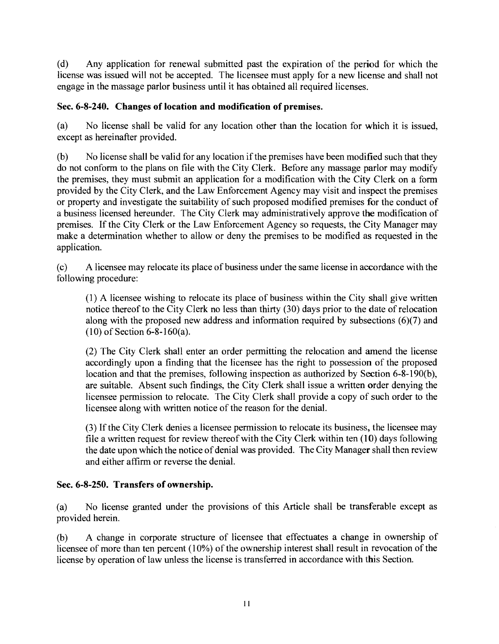(d) Any application for renewal submitted past the expiration of the period for which the license was issued will not be accepted. The licensee must apply for a new license and shall not engage in the massage parlor business until it has obtained all required licenses.

# **Sec. 6-8-240. Changes of location and modification of premises.**

(a) No license shall be valid for any location other than the location for which it is issued, except as hereinafter provided.

(b) No license shall be valid for any location if the premises have been modified such that they do not conform to the plans on file with the City Clerk. Before any massage parlor may modify the premises, they must submit an application for a modification with the City Clerk on a form provided by the City Clerk, and the Law Enforcement Agency may visit and inspect the premises or property and investigate the suitability of such proposed modified premises **for** the conduct of a business licensed hereunder. The City Clerk may administratively approve the modification of premises. If the City Clerk or the Law Enforcement Agency so requests, the City Manager may make a determination whether to allow or deny the premises to be modified as requested in the application.

(c) A licensee may relocate its place of business under the same license in accordance with the following procedure:

(1) A licensee wishing to relocate its place of business within the City shall give written notice thereof to the City Clerk no less than thirty (30) days prior to the date of relocation along with the proposed new address and information required by subsections (6)(7) and **(10)** of Section 6-8-160(a).

(2) The City Clerk shall enter an order permitting the relocation and amend the license accordingly upon a finding that the licensee has the right to possession of the proposed location and that the premises, following inspection as authorized by Section 6-8-190(b), are suitable. Absent such findings, the City Clerk shall issue a written order denying the licensee permission to relocate. The City Clerk shall provide a copy of such order to the licensee along with written notice of the reason for the denial.

(3) If the City Clerk denies a licensee permission to relocate its business, the licensee may file a written request for review thereof with the City Clerk within ten (10) days following the date upon which the notice of denial was provided. The City Manager shall then review and either affirm or reverse the denial.

## **Sec. 6-8-250. Transfers of ownership.**

(a) No license granted under the provisions of this Article shall be transferable except as provided herein.

(b) A change in corporate structure of licensee that effectuates a change in ownership of licensee of more than ten percent (10%) of the ownership interest shall result in revocation of the license by operation of law unless the license is transferred in accordance with this Section.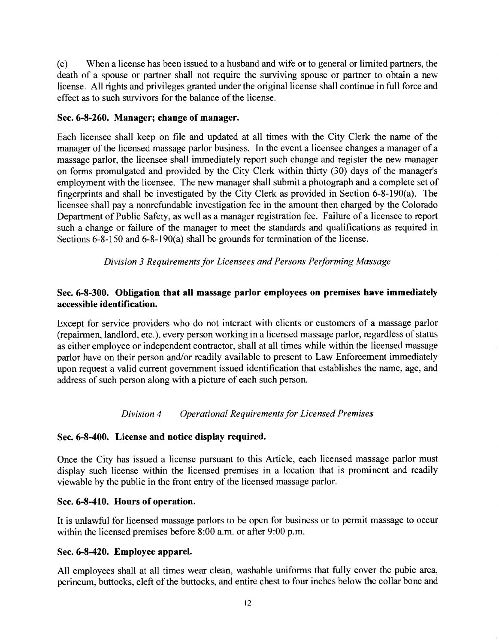(c) When a license has been issued to a husband and wife or to general or limited partners, the death of a spouse or partner shall not require the surviving spouse or partner to obtain a new license. All rights and privileges granted under the original license shall continue in full force and effect as to such survivors for the balance of the license.

### **Sec. 6-8-260. Manager; change of manager.**

Each licensee shall keep on file and updated at all times with the City Clerk the name of the manager of the licensed massage parlor business. In the event a licensee changes a manager of a massage parlor, the licensee shall immediately report such change and register the new manager on forms promulgated and provided by the City Clerk within thirty (30) days of the manager's employment with the licensee. The new manager shall submit a photograph and a complete set of fingerprints and shall be investigated by the City Clerk as provided in Section 6-8-190(a). The licensee shall pay a nonrefundable investigation fee in the amount then charged by the Colorado Department of Public Safety, as well as a manager registration fee. Failure of a licensee to report such a change or failure of the manager to meet the standards and qualifications as required in Sections 6-8-150 and 6-8-190(a) shall be grounds for termination of the license.

*Division 3 Requirements for Licensees and Persons Performing Massage* 

## **Sec. 6-8-300. Obligation that all massage parlor employees on premises have immediately accessible identification.**

Except for service providers who do not interact with clients or customers of a massage parlor (repairmen, landlord, etc.), every person working in a licensed massage parlor, regardless of status as either employee or independent contractor, shall at all times while within the licensed massage parlor have on their person and/or readily available to present to Law Enforcement immediately upon request a valid current government issued identification that establishes the name, age, and address of such person along with a picture of each such person.

## *Division 4 Operational Requirements for Licensed Premises*

## **Sec. 6-8-400. License and notice display required.**

Once the City has issued a license pursuant to this Article, each licensed massage parlor must display such license within the licensed premises in a location that is prominent and readily viewable by the public in the front entry of the licensed massage parlor.

## **Sec. 6-8-410. Hours of operation.**

It is unlawful for licensed massage parlors to be open for business or to permit massage to occur within the licensed premises before 8:00 a.m. or after 9:00 p.m.

#### **Sec. 6-8-420. Employee apparel.**

All employees shall at all times wear clean, washable uniforms that fully cover the pubic area, perineum, buttocks, cleft of the buttocks, and entire chest to four inches below the collar bone and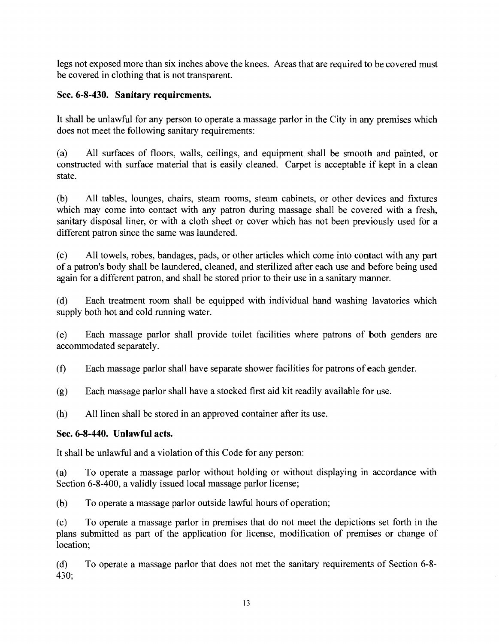legs not exposed more than six inches above the knees. Areas that are required to be covered must be covered in clothing that is not transparent.

# **Sec. 6-8-430. Sanitary requirements.**

It shall be unlawful for any person to operate a massage parlor in the City in any premises which does not meet the following sanitary requirements:

(a) All surfaces of floors, walls, ceilings, and equipment shall be smooth and painted, or constructed with surface material that is easily cleaned. Carpet is acceptable if kept in a clean state.

(b) All tables, lounges, chairs, steam rooms, steam cabinets, or other devices and fixtures which may come into contact with any patron during massage shall be covered with a fresh, sanitary disposal liner, or with a cloth sheet or cover which has not been previously used for a different patron since the same was laundered.

(c) All towels, robes, bandages, pads, or other articles which come into contact with any part of a patron's body shall be laundered, cleaned, and sterilized after each use and before being used again for a different patron, and shall be stored prior to their use in a sanitary manner.

(d) Each treatment room shall be equipped with individual hand washing lavatories which supply both hot and cold running water.

(e) Each massage parlor shall provide toilet facilities where patrons of both genders are accommodated separately.

(0 Each massage parlor shall have separate shower facilities for patrons of each gender.

(g) Each massage parlor shall have a stocked first aid kit readily available for use.

(h) All linen shall be stored in an approved container after its use.

# **Sec. 6-8-440. Unlawful acts.**

It shall be unlawful and a violation of this Code for any person:

(a) To operate a massage parlor without holding or without displaying in accordance with Section 6-8-400, a validly issued local massage parlor license;

(b) To operate a massage parlor outside lawful hours of operation;

(c) To operate a massage parlor in premises that do not meet the depictions set forth in the plans submitted as part of the application for license, modification of premises or change of location;

(d) To operate a massage parlor that does not met the sanitary requirements of Section 6-8- 430;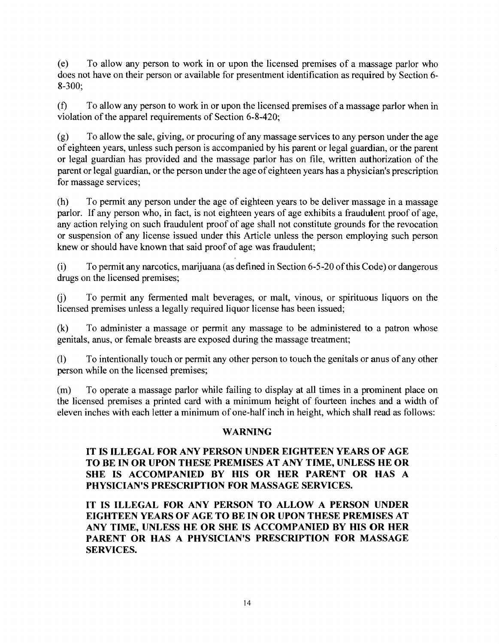(e) To allow any person to work in or upon the licensed premises of a massage parlor who does not have on their person or available for presentment identification as required by Section 6- 8-300;

 $(0)$  To allow any person to work in or upon the licensed premises of a massage parlor when in violation of the apparel requirements of Section 6-8-420;

(g) To allow the sale, giving, or procuring of any massage services to any person under the age of eighteen years, unless such person is accompanied by his parent or legal guardian, or the parent or legal guardian has provided and the massage parlor has on file, written authorization of the parent or legal guardian, or the person under the age of eighteen years has a physician's prescription for massage services;

(h) To permit any person under the age of eighteen years to be deliver massage in a massage parlor. If any person who, in fact, is not eighteen years of age exhibits a fraudulent proof of age, any action relying on such fraudulent proof of age shall not constitute grounds for the revocation or suspension of any license issued under this Article unless the person employing such person knew or should have known that said proof of age was fraudulent;

 $(i)$ To permit any narcotics, marijuana (as defined in Section 6-5-20 of this Code) or dangerous drugs on the licensed premises;

(1) To permit any fermented malt beverages, or malt, vinous, or spirituous liquors on the licensed premises unless a legally required liquor license has been issued;

(k) To administer a massage or permit any massage to be administered to a patron whose genitals, anus, or female breasts are exposed during the massage treatment;

(1) To intentionally touch or permit any other person to touch the genitals or anus of any other person while on the licensed premises;

(m) To operate a massage parlor while failing to display at all times in a prominent place on the licensed premises a printed card with a minimum height of fourteen inches and a width of eleven inches with each letter a minimum of one-half inch in height, which shall read as follows:

#### **WARNING**

### **IT IS ILLEGAL FOR ANY PERSON UNDER EIGHTEEN YEARS OF AGE TO BE IN OR UPON THESE PREMISES AT ANY TIME, UNLESS HE OR SHE IS ACCOMPANIED BY HIS OR HER PARENT OR HAS A PHYSICIAN'S PRESCRIPTION FOR MASSAGE SERVICES.**

**IT IS ILLEGAL FOR ANY PERSON TO ALLOW A PERSON UNDER EIGHTEEN YEARS OF AGE TO BE IN OR UPON THESE PREMISES AT ANY TIME, UNLESS HE OR SHE IS ACCOMPANIED BY HIS OR HER PARENT OR HAS A PHYSICIAN'S PRESCRIPTION FOR MASSAGE SERVICES.**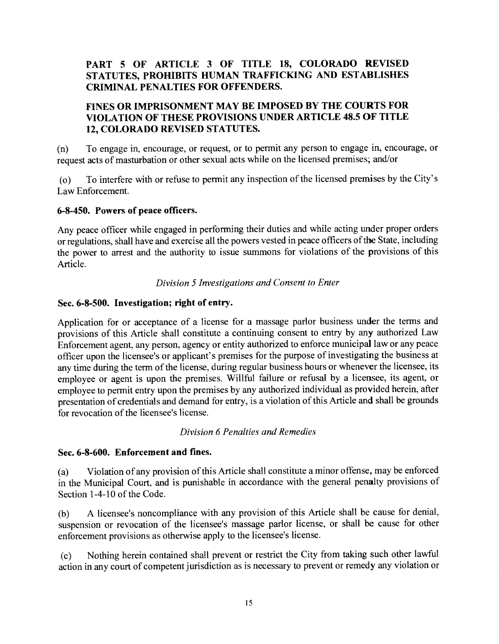## **PART 5 OF ARTICLE 3 OF TITLE 18, COLORADO REVISED STATUTES, PROHIBITS HUMAN TRAFFICKING AND ESTABLISHES CRIMINAL PENALTIES FOR OFFENDERS.**

## **FINES OR IMPRISONMENT MAY BE IMPOSED BY THE COURTS FOR VIOLATION OF THESE PROVISIONS UNDER ARTICLE 48.5 OF TITLE 12, COLORADO REVISED STATUTES.**

(n) To engage in, encourage, or request, or to permit any person to engage in, encourage, or request acts of masturbation or other sexual acts while on the licensed premises; and/or

(o) To interfere with or refuse to permit any inspection of the licensed premises by the City's Law Enforcement.

### **6-8-450. Powers of peace officers.**

Any peace officer while engaged in performing their duties and while acting under proper orders or regulations, shall have and exercise all the powers vested in peace officers of the State, including the power to arrest and the authority to issue summons for violations of the provisions of this Article.

### *Division 5 Investigations and Consent to Enter*

### **Sec. 6-8-500. Investigation; right of entry.**

Application for or acceptance of a license for a massage parlor business under the terms and provisions of this Article shall constitute a continuing consent to entry by any authorized Law Enforcement agent, any person, agency or entity authorized to enforce municipal law or any peace officer upon the licensee's or applicant's premises for the purpose of investigating the business at any time during the term of the license, during regular business hours or whenever the licensee, its employee or agent is upon the premises. Willful failure or refusal by a licensee, its agent, or employee to permit entry upon the premises by any authorized individual as provided herein, after presentation of credentials and demand for entry, is a violation of this Article and shall be grounds for revocation of the licensee's license.

#### *Division 6 Penalties and Remedies*

## **Sec. 6-8-600. Enforcement and fines.**

(a) Violation of any provision of this Article shall constitute a minor offense, may be enforced in the Municipal Court, and is punishable in accordance with the general penalty provisions of Section 1-4-10 of the Code.

(b) A licensee's noncompliance with any provision of this Article shall be cause for denial, suspension or revocation of the licensee's massage parlor license, or shall be cause for other enforcement provisions as otherwise apply to the licensee's license.

(c) Nothing herein contained shall prevent or restrict the City from taking such other lawful action in any court of competent jurisdiction as is necessary to prevent or remedy any violation or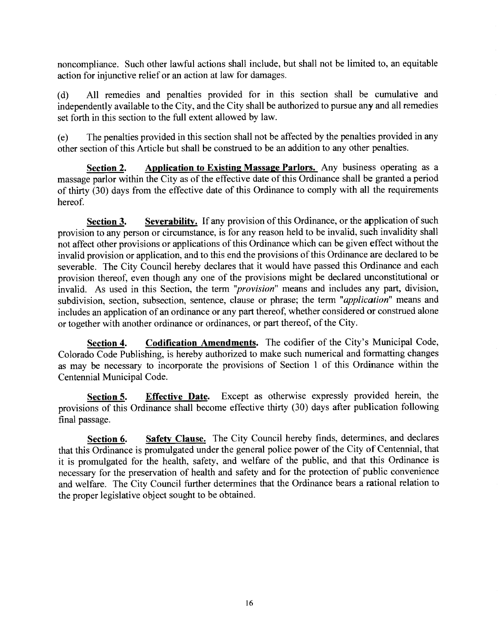noncompliance. Such other lawful actions shall include, but shall not be limited to, an equitable action for injunctive relief or an action at law for damages.

(d) All remedies and penalties provided for in this section shall be cumulative and independently available to the City, and the City shall be authorized to pursue any and all remedies set forth in this section to the full extent allowed by law.

(e) The penalties provided in this section shall not be affected by the penalties provided in any other section of this Article but shall be construed to be an addition to any other penalties.

**Section 2.** Application to Existing Massage Parlors. Any business operating as a massage parlor within the City as of the effective date of this Ordinance shall be granted a period of thirty (30) days from the effective date of this Ordinance to comply with all the requirements hereof.

**Section 3.** Severability. If any provision of this Ordinance, or the application of such provision to any person or circumstance, is for any reason held to be invalid, such invalidity shall not affect other provisions or applications of this Ordinance which can be given effect without the invalid provision or application, and to this end the provisions of this Ordinance are declared to be severable. The City Council hereby declares that it would have passed this Ordinance and each provision thereof, even though any one of the provisions might be declared unconstitutional or invalid. As used in this Section, the term *"provision"* means and includes any part, division, subdivision, section, subsection, sentence, clause or phrase; the term *"application"* means and includes an application of an ordinance or any part thereof, whether considered or construed alone or together with another ordinance or ordinances, or part thereof, of the City.

**Section 4. Codification Amendments.** The codifier of the City's Municipal Code, Colorado Code Publishing, is hereby authorized to make such numerical and formatting changes as may be necessary to incorporate the provisions of Section 1 of this Ordinance within the Centennial Municipal Code.

**Section 5.** Effective Date. Except as otherwise expressly provided herein, the provisions of this Ordinance shall become effective thirty (30) days after publication following final passage.

**Section 6.** Safety Clause. The City Council hereby finds, determines, and declares that this Ordinance is promulgated under the general police power of the City of Centennial, that it is promulgated for the health, safety, and welfare of the public, and that this Ordinance is necessary for the preservation of health and safety and for the protection of public convenience and welfare. The City Council further determines that the Ordinance bears a rational relation to the proper legislative object sought to be obtained.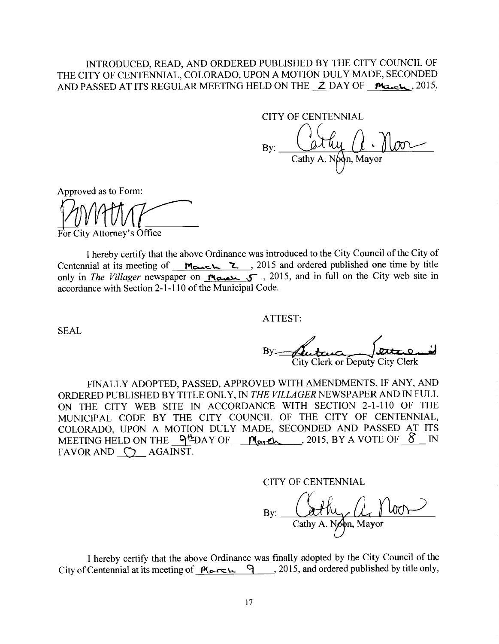### INTRODUCED, READ, AND ORDERED PUBLISHED BY THE CITY COUNCIL OF THE CITY OF CENTENNIAL, COLORADO, UPON A MOTION DULY MADE, SECONDED AND PASSED AT ITS REGULAR MEETING HELD ON THE *Z* DAY OF **March**, 2015.

CITY OF CENTENNIAL

By: Cathy A. Noon, Mayor

Approved as to Form:

*•ViA(// j* ,

For City Attorney's Office

I hereby certify that the above Ordinance was introduced to the City Council of the City of Centennial at its meeting of  $\frac{M_{\text{cutoff}}}{\sum}$ , 2015 and ordered published one time by title only in *The Villager* newspaper on **reason of 3000 minutes**, 2015, and in full on the City web site in accordance with Section 2-1-110 of the Municipal Code.

ATTEST:

SEAL

City Clerk or Deputy City Clerk

FINALLY ADOPTED, PASSED, APPROVED WITH AMENDMENTS, IF ANY, AND ORDERED PUBLISHED BY TITLE ONLY, IN *THE VILLAGER* NEWSPAPER AND IN FULL ON THE CITY WEB SITE IN ACCORDANCE WITH SECTION 2-1-110 OF THE MUNICIPAL CODE BY THE CITY COUNCIL OF THE CITY OF CENTENNIAL, COLORADO, UPON A MOTION DULY MADE, SECONDED AND PASSED AT ITS MEETING HELD ON THE  $94DAY$  OF  $M$  arch 2015, BY A VOTE OF  $8$  IN FAVOR AND  $\bigcirc$  AGAINST.

CITY OF CENTENNIAL

By: Cathy A. Noon, Mayor

I hereby certify that the above Ordinance was finally adopted by the City Council of the City of Centennial at its meeting of  $\frac{M_{\text{c}}}{2}$ , 2015, and ordered published by title only,